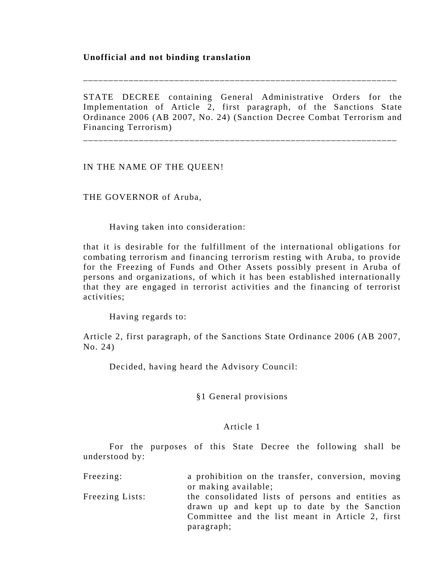# **Unofficial and not binding translation**

STATE DECREE containing General Administrative Orders for the Implementation of Article 2, first paragraph, of the Sanctions State Ordinance 2006 (AB 2007, No. 24) (Sanction Decree Combat Terrorism and Financing Terrorism) \_\_\_\_\_\_\_\_\_\_\_\_\_\_\_\_\_\_\_\_\_\_\_\_\_\_\_\_\_\_\_\_\_\_\_\_\_\_\_\_\_\_\_\_\_\_\_\_\_\_\_\_\_\_\_\_\_\_\_\_\_\_

\_\_\_\_\_\_\_\_\_\_\_\_\_\_\_\_\_\_\_\_\_\_\_\_\_\_\_\_\_\_\_\_\_\_\_\_\_\_\_\_\_\_\_\_\_\_\_\_\_\_\_\_\_\_\_\_\_\_\_\_\_\_

IN THE NAME OF THE QUEEN!

THE GOVERNOR of Aruba,

Having taken into consideration:

that it is desirable for the fulfillment of the international obligations for combating terrorism and financing terrorism resting with Aruba, to provide for the Freezing of Funds and Other Assets possibly present in Aruba of persons and organizations, of which it has been established internationally that they are engaged in terrorist activities and the financing of terrorist activities;

Having regards to:

Article 2, first paragraph, of the Sanctions State Ordinance 2006 (AB 2007, No. 24)

Decided, having heard the Advisory Council:

§1 General provisions

#### Article 1

 For the purposes of this State Decree the following shall be understood by:

| Freezing:       | a prohibition on the transfer, conversion, moving<br>or making available;                                                                                           |
|-----------------|---------------------------------------------------------------------------------------------------------------------------------------------------------------------|
| Freezing Lists: | the consolidated lists of persons and entities as<br>drawn up and kept up to date by the Sanction<br>Committee and the list meant in Article 2, first<br>paragraph; |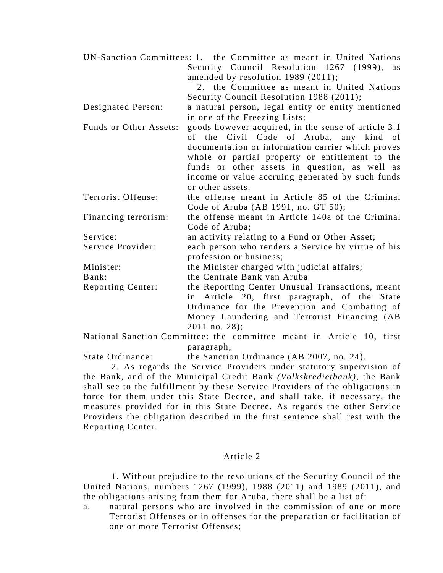|                        | UN-Sanction Committees: 1. the Committee as meant in United Nations |
|------------------------|---------------------------------------------------------------------|
|                        | Security Council Resolution 1267 (1999),<br>as                      |
|                        | amended by resolution 1989 (2011);                                  |
|                        | 2. the Committee as meant in United Nations                         |
|                        | Security Council Resolution 1988 (2011);                            |
| Designated Person:     | a natural person, legal entity or entity mentioned                  |
|                        | in one of the Freezing Lists;                                       |
| Funds or Other Assets: | goods however acquired, in the sense of article 3.1                 |
|                        | of the Civil Code of Aruba, any kind of                             |
|                        | documentation or information carrier which proves                   |
|                        | whole or partial property or entitlement to the                     |
|                        | funds or other assets in question, as well as                       |
|                        | income or value accruing generated by such funds                    |
|                        | or other assets.                                                    |
| Terrorist Offense:     | the offense meant in Article 85 of the Criminal                     |
|                        | Code of Aruba (AB 1991, no. GT 50);                                 |
| Financing terrorism:   | the offense meant in Article 140a of the Criminal                   |
|                        | Code of Aruba;                                                      |
| Service:               | an activity relating to a Fund or Other Asset;                      |
| Service Provider:      | each person who renders a Service by virtue of his                  |
|                        | profession or business;                                             |
| Minister:              | the Minister charged with judicial affairs;                         |
| Bank:                  | the Centrale Bank van Aruba                                         |
| Reporting Center:      | the Reporting Center Unusual Transactions, meant                    |
|                        | in Article 20, first paragraph, of the State                        |
|                        | Ordinance for the Prevention and Combating of                       |
|                        | Money Laundering and Terrorist Financing (AB                        |
|                        | $2011$ no. $28$ );                                                  |

National Sanction Committee: the committee meant in Article 10, first paragraph;

State Ordinance: the Sanction Ordinance (AB 2007, no. 24).

 2. As regards the Service Providers under statutory supervision of the Bank, and of the Municipal Credit Bank *(Volkskredietbank)*, the Bank shall see to the fulfillment by these Service Providers of the obligations in force for them under this State Decree, and shall take, if necessary, the measures provided for in this State Decree. As regards the other Service Providers the obligation described in the first sentence shall rest with the Reporting Center.

#### Article 2

 1. Without prejudice to the resolutions of the Security Council of the United Nations, numbers 1267 (1999), 1988 (2011) and 1989 (2011), and the obligations arising from them for Aruba, there shall be a list of:

a. natural persons who are involved in the commission of one or more Terrorist Offenses or in offenses for the preparation or facilitation of one or more Terrorist Offenses;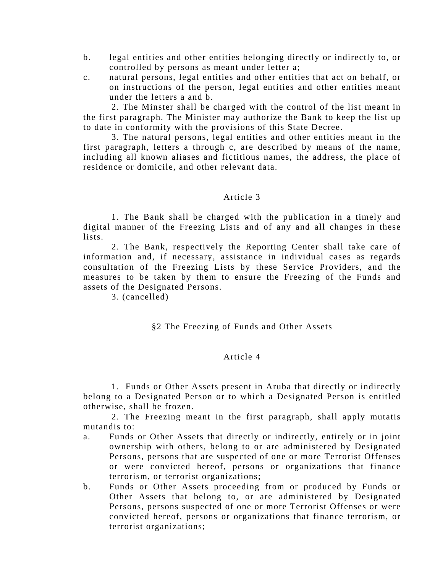- b. legal entities and other entities belonging directly or indirectly to, or controlled by persons as meant under letter a;
- c. natural persons, legal entities and other entities that act on behalf, or on instructions of the person, legal entities and other entities meant under the letters a and b.

 2. The Minster shall be charged with the control of the list meant in the first paragraph. The Minister may authorize the Bank to keep the list up to date in conformity with the provisions of this State Decree.

 3. The natural persons, legal entities and other entities meant in the first paragraph, letters a through c, are described by means of the name, including all known aliases and fictitious names, the address, the place of residence or domicile, and other relevant data.

# Article 3

 1. The Bank shall be charged with the publication in a timely and digital manner of the Freezing Lists and of any and all changes in these lists.

 2. The Bank, respectively the Reporting Center shall take care of information and, if necessary, assistance in individual cases as regards consultation of the Freezing Lists by these Service Providers, and the measures to be taken by them to ensure the Freezing of the Funds and assets of the Designated Persons.

3. (cancelled)

# §2 The Freezing of Funds and Other Assets

# Article 4

 1. Funds or Other Assets present in Aruba that directly or indirectly belong to a Designated Person or to which a Designated Person is entitled otherwise, shall be frozen.

 2. The Freezing meant in the first paragraph, shall apply mutatis mutandis to:

- a. Funds or Other Assets that directly or indirectly, entirely or in joint ownership with others, belong to or are administered by Designated Persons, persons that are suspected of one or more Terrorist Offenses or were convicted hereof, persons or organizations that finance terrorism, or terrorist organizations;
- b. Funds or Other Assets proceeding from or produced by Funds or Other Assets that belong to, or are administered by Designated Persons, persons suspected of one or more Terrorist Offenses or were convicted hereof, persons or organizations that finance terrorism, or terrorist organizations;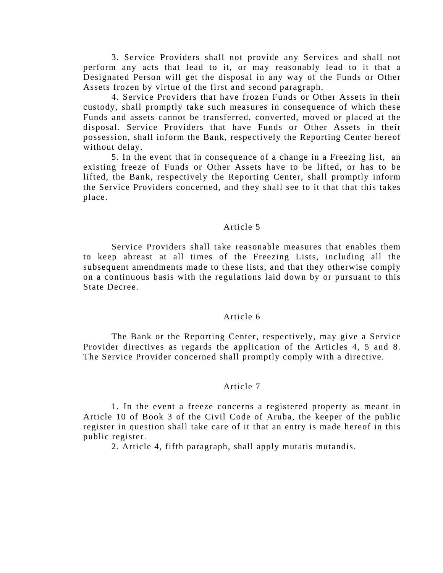3. Service Providers shall not provide any Services and shall not perform any acts that lead to it, or may reasonably lead to it that a Designated Person will get the disposal in any way of the Funds or Other Assets frozen by virtue of the first and second paragraph.

 4. Service Providers that have frozen Funds or Other Assets in their custody, shall promptly take such measures in consequence of which these Funds and assets cannot be transferred, converted, moved or placed at the disposal. Service Providers that have Funds or Other Assets in their possession, shall inform the Bank, respectively the Reporting Center hereof without delay.

 5. In the event that in consequence of a change in a Freezing list, an existing freeze of Funds or Other Assets have to be lifted, or has to be lifted, the Bank, respectively the Reporting Center, shall promptly inform the Service Providers concerned, and they shall see to it that that this takes place.

## Article 5

 Service Providers shall take reasonable measures that enables them to keep abreast at all times of the Freezing Lists, including all the subsequent amendments made to these lists, and that they otherwise comply on a continuous basis with the regulations laid down by or pursuant to this State Decree.

#### Article 6

 The Bank or the Reporting Center, respectively, may give a Service Provider directives as regards the application of the Articles 4, 5 and 8. The Service Provider concerned shall promptly comply with a directive.

#### Article 7

 1. In the event a freeze concerns a registered property as meant in Article 10 of Book 3 of the Civil Code of Aruba, the keeper of the public register in question shall take care of it that an entry is made hereof in this public register.

2. Article 4, fifth paragraph, shall apply mutatis mutandis.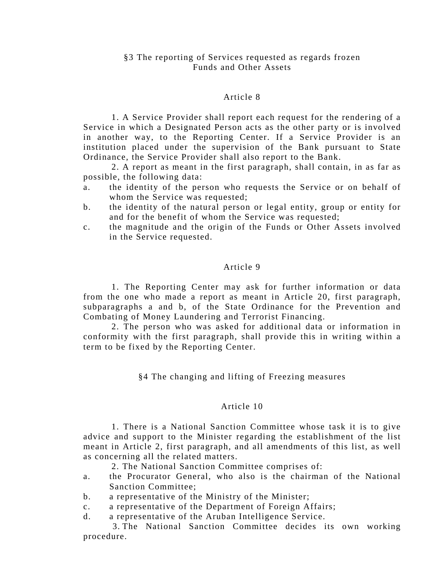# Article 8

 1. A Service Provider shall report each request for the rendering of a Service in which a Designated Person acts as the other party or is involved in another way, to the Reporting Center. If a Service Provider is an institution placed under the supervision of the Bank pursuant to State Ordinance, the Service Provider shall also report to the Bank.

 2. A report as meant in the first paragraph, shall contain, in as far as possible, the following data:

- a. the identity of the person who requests the Service or on behalf of whom the Service was requested;
- b. the identity of the natural person or legal entity, group or entity for and for the benefit of whom the Service was requested;
- c. the magnitude and the origin of the Funds or Other Assets involved in the Service requested.

# Article 9

 1. The Reporting Center may ask for further information or data from the one who made a report as meant in Article 20, first paragraph, subparagraphs a and b, of the State Ordinance for the Prevention and Combating of Money Laundering and Terrorist Financing.

 2. The person who was asked for additional data or information in conformity with the first paragraph, shall provide this in writing within a term to be fixed by the Reporting Center.

§4 The changing and lifting of Freezing measures

# Article 10

 1. There is a National Sanction Committee whose task it is to give advice and support to the Minister regarding the establishment of the list meant in Article 2, first paragraph, and all amendments of this list, as well as concerning all the related matters.

2. The National Sanction Committee comprises of:

- a. the Procurator General, who also is the chairman of the National Sanction Committee;
- b. a representative of the Ministry of the Minister;
- c. a representative of the Department of Foreign Affairs;
- d. a representative of the Aruban Intelligence Service.

 3. The National Sanction Committee decides its own working procedure.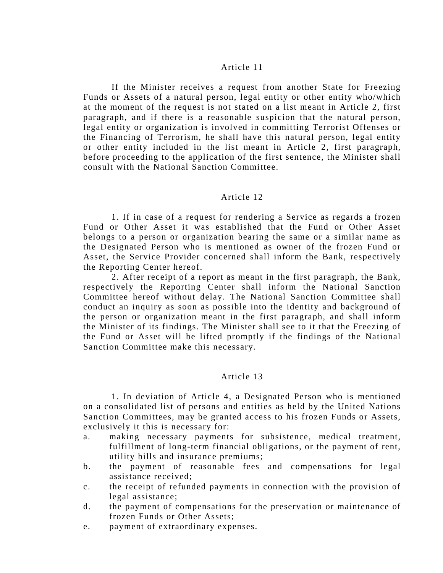### Article 11

 If the Minister receives a request from another State for Freezing Funds or Assets of a natural person, legal entity or other entity who/which at the moment of the request is not stated on a list meant in Article 2, first paragraph, and if there is a reasonable suspicion that the natural person, legal entity or organization is involved in committing Terrorist Offenses or the Financing of Terrorism, he shall have this natural person, legal entity or other entity included in the list meant in Article 2, first paragraph, before proceeding to the application of the first sentence, the Minister shall consult with the National Sanction Committee.

### Article 12

 1. If in case of a request for rendering a Service as regards a frozen Fund or Other Asset it was established that the Fund or Other Asset belongs to a person or organization bearing the same or a similar name as the Designated Person who is mentioned as owner of the frozen Fund or Asset, the Service Provider concerned shall inform the Bank, respectively the Reporting Center hereof.

 2. After receipt of a report as meant in the first paragraph, the Bank, respectively the Reporting Center shall inform the National Sanction Committee hereof without delay. The National Sanction Committee shall conduct an inquiry as soon as possible into the identity and background of the person or organization meant in the first paragraph, and shall inform the Minister of its findings. The Minister shall see to it that the Freezing of the Fund or Asset will be lifted promptly if the findings of the National Sanction Committee make this necessary.

### Article 13

 1. In deviation of Article 4, a Designated Person who is mentioned on a consolidated list of persons and entities as held by the United Nations Sanction Committees, may be granted access to his frozen Funds or Assets, exclusively it this is necessary for:

- a. making necessary payments for subsistence, medical treatment, fulfillment of long-term financial obligations, or the payment of rent, utility bills and insurance premiums;
- b. the payment of reasonable fees and compensations for legal assistance received;
- c. the receipt of refunded payments in connection with the provision of legal assistance;
- d. the payment of compensations for the preservation or maintenance of frozen Funds or Other Assets;
- e. payment of extraordinary expenses.